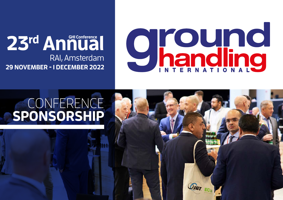

## RAI, Amsterdam **29 NOVEMBER - 1 DECEMBER 2022** 23rd Annual

## CONFERENCE **SPONSORSHIP**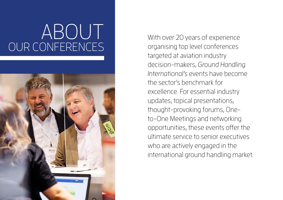## ABOUT OUR CONFERENCES



With over 20 years of experience organising top level conferences targeted at aviation industry decision-makers, Ground Handling International's events have become the sector's benchmark for excellence. For essential industry updates, topical presentations, thought-provoking forums, Oneto-One Meetings and networking opportunities, these events offer the ultimate service to senior executives who are actively engaged in the international ground handling market.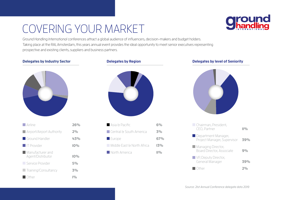## COVERING YOUR MARKET



Ground Handling International conferences attract a global audience of influencers, decision-makers and budget holders. Taking place at the RAI, Amsterdam, this years annual event provides the ideal opportunity to meet senior executives representing prospective and existing clients, suppliers and business partners.



| <b>Airline</b>                           | 26%  |
|------------------------------------------|------|
| $\blacksquare$ Airport/Airport Authority | 2%   |
| Ground Handler                           | 43%  |
| <b>I</b> IT Provider                     | 10%  |
| Manufacturer and<br>Agent/Distributor    | 10%  |
| Service Provider                         | 5%   |
| Training/Consultancy                     | 3%   |
| ∩ther                                    | 10/2 |

| Asia & Pacific             | 6%  |
|----------------------------|-----|
| Central & South America    | 3%  |
| $\blacksquare$ Europe      | 67% |
| Middle Fast & North Africa | 13% |
| <b>North America</b>       | 10% |
|                            |     |

### **Delegates by Industry Sector Delegates by Region Delegates by level of Seniority**



| Chairman, President,<br>CEO, Partner                   | 10%   |
|--------------------------------------------------------|-------|
| Department Manager,<br>Project Manager, Supervisor     | 39%   |
| Managing Director,<br><b>Board Director, Associate</b> | $9\%$ |
| VP, Deputy Director,<br>General Manager                | 39%   |
|                                                        |       |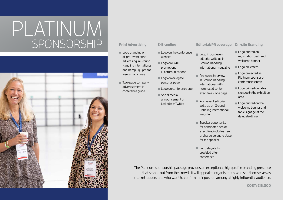## PLATINUM SPONSORSHIP



### **Print Advertising**

### Logo branding on all pre-event print advertising in Ground Handling International and Ramp Equipment News magazines

**Two-page company** advertisement in conference guide

Logo on the conference website

**E-Branding** 

- Logo on HMTL promotional E-communications
- Logo on delegate personal page
- Logo on conference app
- Social media announcement on LinkedIn & Twitter

Logo in post event editorial write up in Ground Handling International magazine

**Pre-event interview** in Ground Handling International with nominated senior executive – one page

**Post-event editorial** write up on Ground Handling International

Speaker opportunity for nominated senior executive, includes free of charge delegate place

for the speaker

Full delegate list provided after conference

website

### **Editorial/PR coverage On-site Branding**

- Logo printed on registration desk and welcome banner
- Logo on lectern
- Logo projected as Platinum sponsor on conference screen
- Logo printed on table signage in the exhibition area
- Logo printed on the welcome banner and table signage at the delegate dinner

The Platinum sponsorship package provides an exceptional, high profile branding presence that stands out from the crowd. It will appeal to organisations who see themselves as market leaders and who want to confirm their positon among a highly influential audience.

**COST: €15,000**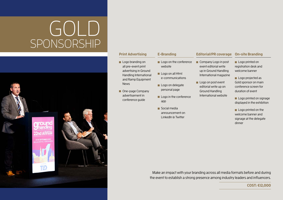## GOLD SPONSORSHIP



### **Print Advertising**

### Logo branding on all pre-event print advertising in Ground Handling International and Ramp Equipment **News**

One-page Company advertisement in conference guide

## **E-Branding**

### Logo on the conference website Company Logo in post

- Logo on all Html e-communications
- Logo on delegate personal page
- Logo in the conference app
- Social media announcement on LinkedIn & Twitter

### **Editorial/PR coverage On-site Branding**

event editorial write up in Ground Handling International magazine

Logo on post event editorial write up on Ground Handling International website

Logo printed on registration desk and welcome banner

Logo projected as Gold sponsor on main conference screen for duration of event

Logo printed on signage displayed in the exhibition

Logo printed on the welcome banner and signage at the delegate dinner

Make an impact with your branding across all media formats before and during the event to establish a strong presence among industry leaders and influencers.

**COST: €12,000**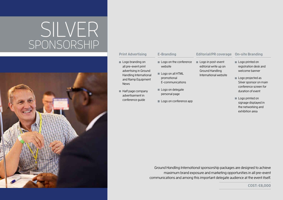## SILVER SPONSORSHIP



### **Print Advertising**

### Logo branding on all pre-event print advertising in Ground Handling International and Ramp Equipment

 $\blacksquare$  Half page company advertisement in conference guide

**News** 

Logo on the conference website

Logo on all HTML promotional E-communications

**E-Branding** 

Logo on delegate personal page

Logo on conference app

Logo in post-event editorial write up on Ground Handling International website

**Editorial/PR coverage On-site Branding**

- Logo printed on registration desk and welcome banner
- Logo projected as Silver sponsor on main conference screen for duration of event
- Logo printed on signage displayed in the networking and exhibition area

Ground Handling International sponsorship packages are designed to achieve maximum brand exposure and marketing opportunities in all pre-event communications and among this important delegate audience at the event itself.

**COST: €8,000**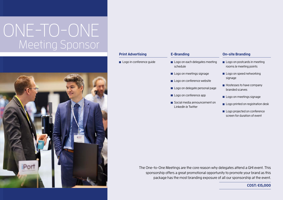## ONE-TO-ONE Meeting Sponsor



## **E-Branding**  Logo on each delegates meeting schedule Logo on meetings signage Logo on conference website Logo on delegate personal page Logo on conference app Social media announcement on LinkedIn & Twitter Logo in conference guide

**Print Advertising** 

**On-site Branding**

- $\blacksquare$  Logo on postcards in meeting rooms & meeting points
- Logo on speed networking signage
- $\blacksquare$  Hostesses to have company branded scarves
- Logo on meetings signage
- Logo printed on registration desk
- Logo projected on conference screen for duration of event

The One-to-One Meetings are the core reason why delegates attend a GHI event. This sponsorship offers a great promotional opportunity to promote your brand as this package has the most branding exposure of all our sponsorship at the event.

**COST: €15,000**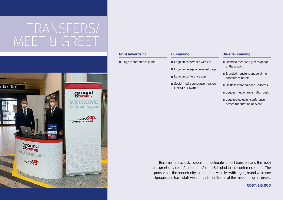## TRANSFERS/ MEET & GREET



## Become the exclusive sponsor of delegate airport transfers and the meet **E-Branding**  Logo on conference website Logo on delegate personal page Logo on conference app Social media announcement on LinkedIn & Twitter **On-site Branding Branded meet and greet signage** at the airport  $\blacksquare$  Branded transfer signage at the conference hotels **Hosts to wear branded uniforms** Logo printed on registration desk Logo projected on conference screen for duration of event **Print Advertising**  Logo in conference guide

and greet service at Amsterdam Airport Schiphol to the conference hotel. The sponsor has the opportunity to brand the vehicles with logos, brand welcome signage, and have staff wear branded uniforms at the meet and greet desks.

### **COST: €15,000**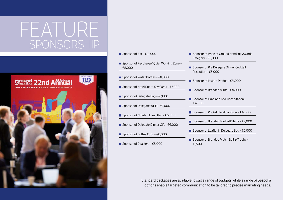## FEATURE SPONSORSHIP



- Sponsor of Bar €10,000 ■ Sponsor of Re-charge/ Quiet Working Zone -€8,000 ■ Sponsor of Water Bottles - €8,000 ■ Sponsor of Hotel Room Key Cards - €7,000 Sponsor of Delegate Bag -  $\epsilon$ 7,000 Sponsor of Delegate Wi-Fi -  $\epsilon$ 7,000 ■ Sponsor of Notebook and Pen - €6,000 ■ Sponsor of Delegate Dinner Gift - €6,000 ■ Sponsor of Coffee Cups - €6,000 Sponsor of Coasters -  $£5,000$ 
	- Sponsor of Pride of Ground Handling Awards Category - €5,000
	- Sponsor of Pre Delegate Dinner Cocktail Reception - €5,000
	- Sponsor of Instant Photos  $E4,000$
	- Sponsor of Branded Mints  $€4,000$
	- Sponsor of Grab and Go Lunch Station-€4,000
	- Sponsor of Pocket Hand Sanitizer €4,000
	- Sponsor of Branded Football Shirts  $£2,000$
	- Sponsor of Leaflet in Delegate Bag €2,000
	- Sponsor of Branded Match Ball & Trophy -€1,500

Standard packages are available to suit a range of budgets while a range of bespoke options enable targeted communication to be tailored to precise marketing needs.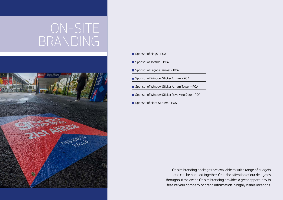## ON-SITE BRANDING



- **Sponsor of Flags POA**
- **Sponsor of Totems POA**
- **Sponsor of Façade Banner POA**
- Sponsor of Window Sticker Atrium POA
- Sponsor of Window Sticker Atrium Tower POA
- Sponsor of Window Sticker Revolving Door POA
- Sponsor of Floor Stickers POA

On site branding packages are available to suit a range of budgets and can be bundled together. Grab the attention of our delegates throughout the event. On site branding provides a great opportunity to feature your company or brand information in highly visible locations.